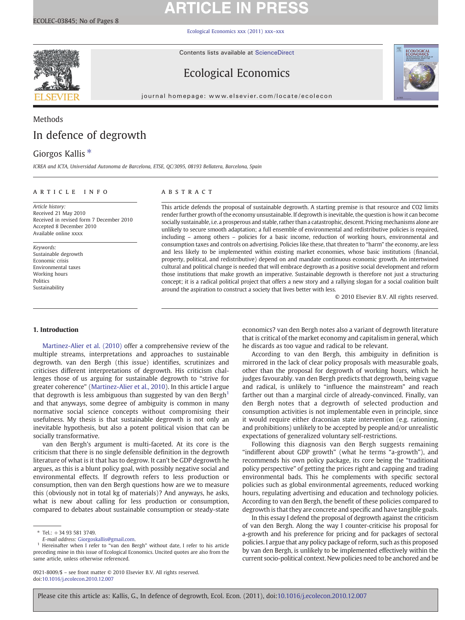# **ARTICLE IN PRESS**

Ecological Economics xxx (2011) xxx–xxx

Contents lists available at ScienceDirect

# Ecological Economics



journal homepage: www.elsevier.com/locate/ecolecon

# Methods In defence of degrowth

# Giorgos Kallis<sup>\*</sup>

*ICREA and ICTA, Universidad Autonoma de Barcelona, ETSE, QC/3095, 08193 Bellatera, Barcelona, Spain*

# article info abstract

*Article history:* Received 21 May 2010 Received in revised form 7 December 2010 Accepted 8 December 2010 Available online xxxx

*Keywords:* Sustainable degrowth Economic crisis Environmental taxes Working hours Politics Sustainability

This article defends the proposal of sustainable degrowth. A starting premise is that resource and CO2 limits render further growth of the economy unsustainable. If degrowth is inevitable, the question is how it can become socially sustainable, i.e. a prosperous and stable, rather than a catastrophic, descent. Pricing mechanisms alone are unlikely to secure smooth adaptation; a full ensemble of environmental and redistributive policies is required, including – among others – policies for a basic income, reduction of working hours, environmental and consumption taxes and controls on advertising. Policies like these, that threaten to "harm" the economy, are less and less likely to be implemented within existing market economies, whose basic institutions (financial, property, political, and redistributive) depend on and mandate continuous economic growth. An intertwined cultural and political change is needed that will embrace degrowth as a positive social development and reform those institutions that make growth an imperative. Sustainable degrowth is therefore not just a structuring concept; it is a radical political project that offers a new story and a rallying slogan for a social coalition built around the aspiration to construct a society that lives better with less.

© 2010 Elsevier B.V. All rights reserved.

# 1. Introduction

Martinez-Alier et al. (2010) offer a comprehensive review of the multiple streams, interpretations and approaches to sustainable degrowth. van den Bergh (this issue) identifies, scrutinizes and criticises different interpretations of degrowth. His criticism challenges those of us arguing for sustainable degrowth to "strive for greater coherence" (Martinez-Alier et al., 2010). In this article I argue that degrowth is less ambiguous than suggested by van den Bergh<sup>1</sup> and that anyways, some degree of ambiguity is common in many normative social science concepts without compromising their usefulness. My thesis is that sustainable degrowth is not only an inevitable hypothesis, but also a potent political vision that can be socially transformative.

van den Bergh's argument is multi-faceted. At its core is the criticism that there is no single defensible definition in the degrowth literature of what is it that has to degrow. It can't be GDP degrowth he argues, as this is a blunt policy goal, with possibly negative social and environmental effects. If degrowth refers to less production or consumption, then van den Bergh questions how are we to measure this (obviously not in total kg of materials)? And anyways, he asks, what is new about calling for less production or consumption, compared to debates about sustainable consumption or steady-state

0921-8009/\$ – see front matter © 2010 Elsevier B.V. All rights reserved. doi:10.1016/j.ecolecon.2010.12.007

economics? van den Bergh notes also a variant of degrowth literature that is critical of the market economy and capitalism in general, which he discards as too vague and radical to be relevant.

According to van den Bergh, this ambiguity in definition is mirrored in the lack of clear policy proposals with measurable goals, other than the proposal for degrowth of working hours, which he judges favourably. van den Bergh predicts that degrowth, being vague and radical, is unlikely to "influence the mainstream" and reach farther out than a marginal circle of already-convinced. Finally, van den Bergh notes that a degrowth of selected production and consumption activities is not implementable even in principle, since it would require either draconian state intervention (e.g. rationing, and prohibitions) unlikely to be accepted by people and/or unrealistic expectations of generalized voluntary self-restrictions.

Following this diagnosis van den Bergh suggests remaining "indifferent about GDP growth" (what he terms "a-growth"), and recommends his own policy package, its core being the "traditional policy perspective" of getting the prices right and capping and trading environmental bads. This he complements with specific sectoral policies such as global environmental agreements, reduced working hours, regulating advertising and education and technology policies. According to van den Bergh, the benefit of these policies compared to degrowth is that they are concrete and specific and have tangible goals.

In this essay I defend the proposal of degrowth against the criticism of van den Bergh. Along the way I counter-criticise his proposal for a-growth and his preference for pricing and for packages of sectoral policies. I argue that any policy package of reform, such as this proposed by van den Bergh, is unlikely to be implemented effectively within the current socio-political context. New policies need to be anchored and be

<sup>⁎</sup> Tel.: +34 93 581 3749.

*E-mail address:* Giorgoskallis@gmail.com.

<sup>1</sup> Hereinafter when I refer to "van den Bergh" without date, I refer to his article preceding mine in this issue of Ecological Economics. Uncited quotes are also from the same article, unless otherwise referenced.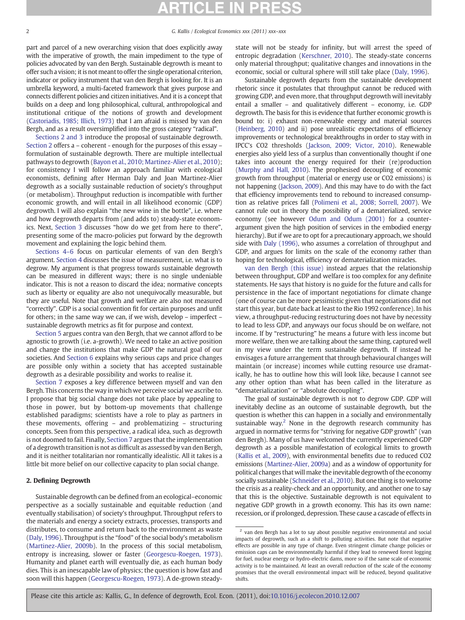part and parcel of a new overarching vision that does explicitly away with the imperative of growth, the main impediment to the type of policies advocated by van den Bergh. Sustainable degrowth is meant to offer such a vision; it is not meant to offer the single operational criterion, indicator or policy instrument that van den Bergh is looking for. It is an umbrella keyword, a multi-faceted framework that gives purpose and connects different policies and citizen initiatives. And it is a concept that builds on a deep and long philosophical, cultural, anthropological and institutional critique of the notions of growth and development (Castoriadis, 1985; Illich, 1973) that I am afraid is missed by van den Bergh, and as a result oversimplified into the gross category "radical".

Sections 2 and 3 introduce the proposal of sustainable degrowth. Section 2 offers a – coherent - enough for the purposes of this essay – formulation of sustainable degrowth. There are multiple intellectual pathways to degrowth (Bayon et al., 2010; Martinez-Alier et al., 2010); for consistency I will follow an approach familiar with ecological economists, defining after Herman Daly and Joan Martinez-Alier degrowth as a socially sustainable reduction of society's throughput (or metabolism). Throughput reduction is incompatible with further economic growth, and will entail in all likelihood economic (GDP) degrowth. I will also explain "the new wine in the bottle", i.e. where and how degrowth departs from (and adds to) steady-state economics. Next, Section 3 discusses "how do we get from here to there", presenting some of the macro-policies put forward by the degrowth movement and explaining the logic behind them.

Sections 4–6 focus on particular elements of van den Bergh's argument. Section 4 discusses the issue of measurement, i.e. what is to degrow. My argument is that progress towards sustainable degrowth can be measured in different ways; there is no single undeniable indicator. This is not a reason to discard the idea; normative concepts such as liberty or equality are also not unequivocally measurable, but they are useful. Note that growth and welfare are also not measured "correctly". GDP is a social convention fit for certain purposes and unfit for others; in the same way we can, if we wish, develop – imperfect – sustainable degrowth metrics as fit for purpose and context.

Section 5 argues contra van den Bergh, that we cannot afford to be agnostic to growth (i.e. a-growth). We need to take an active position and change the institutions that make GDP the natural goal of our societies. And Section 6 explains why serious caps and price changes are possible only within a society that has accepted sustainable degrowth as a desirable possibility and works to realise it.

Section 7 exposes a key difference between myself and van den Bergh. This concerns the way in which we perceive social we ascribe to. I propose that big social change does not take place by appealing to those in power, but by bottom-up movements that challenge established paradigms; scientists have a role to play as partners in these movements, offering – and problematizing – structuring concepts. Seen from this perspective, a radical idea, such as degrowth is not doomed to fail. Finally, Section 7 argues that the implementation of a degrowth transition is not as difficult as assessed by van den Bergh, and it is neither totalitarian nor romantically idealistic. All it takes is a little bit more belief on our collective capacity to plan social change.

## 2. Defining Degrowth

Sustainable degrowth can be defined from an ecological–economic perspective as a socially sustainable and equitable reduction (and eventually stabilisation) of society's throughput. Throughput refers to the materials and energy a society extracts, processes, transports and distributes, to consume and return back to the environment as waste (Daly, 1996). Throughput is the "food" of the social body's metabolism (Martinez-Alier, 2009b). In the process of this social metabolism, entropy is increasing, slower or faster (Georgescu-Roegen, 1973). Humanity and planet earth will eventually die, as each human body dies. This is an inescapable law of physics; the question is how fast and soon will this happen (Georgescu-Roegen, 1973). A de-grown steadystate will not be steady for infinity, but will arrest the speed of entropic degradation (Kerschner, 2010). The steady-state concerns only material throughput; qualitative changes and innovations in the economic, social or cultural sphere will still take place (Daly, 1996).

Sustainable degrowth departs from the sustainable development rhetoric since it postulates that throughput cannot be reduced with growing GDP, and even more, that throughput degrowth will inevitably entail a smaller – and qualitatively different – economy, i.e. GDP degrowth. The basis for this is evidence that further economic growth is bound to: i) exhaust non-renewable energy and material sources (Heinberg, 2010) and ii) pose unrealistic expectations of efficiency improvements or technological breakthroughs in order to stay with in IPCC's CO2 thresholds (Jackson, 2009; Victor, 2010). Renewable energies also yield less of a surplus than conventionally thought if one takes into account the energy required for their (re)production (Murphy and Hall, 2010). The prophesised decoupling of economic growth from throughput (material or energy use or CO2 emissions) is not happening (Jackson, 2009). And this may have to do with the fact that efficiency improvements tend to rebound to increased consumption as relative prices fall (Polimeni et al., 2008; Sorrell, 2007). We cannot rule out in theory the possibility of a dematerialized, service economy (see however Odum and Odum (2001) for a counterargument given the high position of services in the embodied energy hierarchy). But if we are to opt for a precautionary approach, we should side with Daly (1996), who assumes a correlation of throughput and GDP, and argues for limits on the scale of the economy rather than hoping for technological, efficiency or dematerialization miracles.

van den Bergh (this issue) instead argues that the relationship between throughput, GDP and welfare is too complex for any definite statements. He says that history is no guide for the future and calls for persistence in the face of important negotiations for climate change (one of course can be more pessimistic given that negotiations did not start this year, but date back at least to the Rio 1992 conference). In his view, a throughput-reducing restructuring does not have by necessity to lead to less GDP, and anyways our focus should be on welfare, not income. If by "restructuring" he means a future with less income but more welfare, then we are talking about the same thing, captured well in my view under the term sustainable degrowth. If instead he envisages a future arrangement that through behavioural changes will maintain (or increase) incomes while cutting resource use dramatically, he has to outline how this will look like, because I cannot see any other option than what has been called in the literature as "dematerialization" or "absolute decoupling".

The goal of sustainable degrowth is not to degrow GDP. GDP will inevitably decline as an outcome of sustainable degrowth, but the question is whether this can happen in a socially and environmentally sustainable way.<sup>2</sup> None in the degrowth research community has argued in normative terms for "striving for negative GDP growth" (van den Bergh). Many of us have welcomed the currently experienced GDP degrowth as a possible manifestation of ecological limits to growth (Kallis et al., 2009), with environmental benefits due to reduced CO2 emissions (Martinez-Alier, 2009a) and as a window of opportunity for political changes that will make the inevitable degrowth of the economy socially sustainable (Schneider et al., 2010). But one thing is to welcome the crisis as a reality-check and an opportunity, and another one to say that this is the objective. Sustainable degrowth is not equivalent to negative GDP growth in a growth economy. This has its own name: recession, or if prolonged, depression. These cause a cascade of effects in

<sup>&</sup>lt;sup>2</sup> van den Bergh has a lot to say about possible negative environmental and social impacts of degrowth, such as a shift to polluting activities. But note that negative effects are possible in any type of change. Even stringent climate change policies or emission caps can be environmentally harmful if they lead to renewed forest logging for fuel, nuclear energy or hydro-electric dams, more so if the same scale of economic activity is to be maintained. At least an overall reduction of the scale of the economy promises that the overall environmental impact will be reduced, beyond qualitative shifts.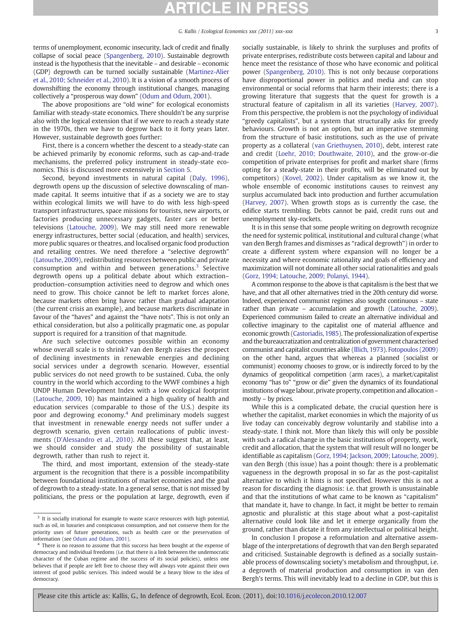terms of unemployment, economic insecurity, lack of credit and finally collapse of social peace (Spangenberg, 2010). Sustainable degrowth instead is the hypothesis that the inevitable – and desirable – economic (GDP) degrowth can be turned socially sustainable (Martinez-Alier et al., 2010; Schneider et al., 2010). It is a vision of a smooth process of downshifting the economy through institutional changes, managing collectively a "prosperous way down" (Odum and Odum, 2001).

The above propositions are "old wine" for ecological economists familiar with steady-state economics. There shouldn't be any surprise also with the logical extension that if we were to reach a steady state in the 1970s, then we have to degrow back to it forty years later. However, sustainable degrowth goes further:

First, there is a concern whether the descent to a steady-state can be achieved primarily by economic reforms, such as cap-and-trade mechanisms, the preferred policy instrument in steady-state economics. This is discussed more extensively in Section 5.

Second, beyond investments in natural capital (Daly, 1996), degrowth opens up the discussion of selective downscaling of manmade capital. It seems intuitive that if as a society we are to stay within ecological limits we will have to do with less high-speed transport infrastructures, space missions for tourists, new airports, or factories producing unnecessary gadgets, faster cars or better televisions (Latouche, 2009). We may still need more renewable energy infrastructures, better social (education, and health) services, more public squares or theatres, and localised organic food production and retailing centres. We need therefore a "selective degrowth" (Latouche, 2009), redistributing resources between public and private consumption and within and between generations.<sup>3</sup> Selective degrowth opens up a political debate about which extraction– production–consumption activities need to degrow and which ones need to grow. This choice cannot be left to market forces alone, because markets often bring havoc rather than gradual adaptation (the current crisis an example), and because markets discriminate in favour of the "haves" and against the "have nots". This is not only an ethical consideration, but also a politically pragmatic one, as popular support is required for a transition of that magnitude.

Are such selective outcomes possible within an economy whose overall scale is to shrink? van den Bergh raises the prospect of declining investments in renewable energies and declining social services under a degrowth scenario. However, essential public services do not need growth to be sustained. Cuba, the only country in the world which according to the WWF combines a high UNDP Human Development Index with a low ecological footprint (Latouche, 2009, 10) has maintained a high quality of health and education services (comparable to those of the U.S.) despite its poor and degrowing economy.<sup>4</sup> And preliminary models suggest that investment in renewable energy needs not suffer under a degrowth scenario, given certain reallocations of public investments (D'Alessandro et al., 2010). All these suggest that, at least, we should consider and study the possibility of sustainable degrowth, rather than rush to reject it.

The third, and most important, extension of the steady-state argument is the recognition that there is a possible incompatibility between foundational institutions of market economies and the goal of degrowth to a steady-state. In a general sense, that is not missed by politicians, the press or the population at large, degrowth, even if socially sustainable, is likely to shrink the surpluses and profits of private enterprises, redistribute costs between capital and labour and hence meet the resistance of those who have economic and political power (Spangenberg, 2010). This is not only because corporations have disproportional power in politics and media and can stop environmental or social reforms that harm their interests; there is a growing literature that suggests that the quest for growth is a structural feature of capitalism in all its varieties (Harvey, 2007). From this perspective, the problem is not the psychology of individual "greedy capitalists", but a system that structurally asks for greedy behaviours. Growth is not an option, but an imperative stemming from the structure of basic institutions, such as the use of private property as a collateral (van Griethuysen, 2010), debt, interest rate and credit (Loehr, 2010; Douthwaite, 2010), and the grow-or-die competition of private enterprises for profit and market share (firms opting for a steady-state in their profits, will be eliminated out by competitors) (Kovel, 2002). Under capitalism as we know it, the whole ensemble of economic institutions causes to reinvest any surplus accumulated back into production and further accumulation (Harvey, 2007). When growth stops as is currently the case, the edifice starts trembling. Debts cannot be paid, credit runs out and unemployment sky-rockets.

It is in this sense that some people writing on degrowth recognize the need for systemic political, institutional and cultural change (what van den Bergh frames and dismisses as "radical degrowth") in order to create a different system where expansion will no longer be a necessity and where economic rationality and goals of efficiency and maximization will not dominate all other social rationalities and goals (Gorz, 1994; Latouche, 2009; Polanyi, 1944).

A common response to the above is that capitalism is the best that we have, and that all other alternatives tried in the 20th century did worse. Indeed, experienced communist regimes also sought continuous – state rather than private – accumulation and growth (Latouche, 2009). Experienced communism failed to create an alternative individual and collective imaginary to the capitalist one of material affluence and economic growth (Castoriadis, 1985). The professionalization of expertise and the bureaucratization and centralization of government characterised communist and capitalist countries alike (Illich, 1973). Fotopoulos (2009) on the other hand, argues that whereas a planned (socialist or communist) economy chooses to grow, or is indirectly forced to by the dynamics of geopolitical competition (arm races), a market/capitalist economy "has to" "grow or die" given the dynamics of its foundational institutions of wage labour, private property, competition and allocation– mostly – by prices.

While this is a complicated debate, the crucial question here is whether the capitalist, market economies in which the majority of us live today can conceivably degrow voluntarily and stabilise into a steady-state. I think not. More than likely this will only be possible with such a radical change in the basic institutions of property, work, credit and allocation, that the system that will result will no longer be identifiable as capitalism (Gorz, 1994; Jackson, 2009; Latouche, 2009). van den Bergh (this issue) has a point though: there is a problematic vagueness in the degrowth proposal in so far as the post-capitalist alternative to which it hints is not specified. However this is not a reason for discarding the diagnosis: i.e. that growth is unsustainable and that the institutions of what came to be known as "capitalism" that mandate it, have to change. In fact, it might be better to remain agnostic and pluralistic at this stage about what a post-capitalist alternative could look like and let it emerge organically from the ground, rather than dictate it from any intellectual or political height.

In conclusion I propose a reformulation and alternative assemblage of the interpretations of degrowth that van den Bergh separated and criticised. Sustainable degrowth is defined as a socially sustainable process of downscaling society's metabolism and throughput, i.e. a degrowth of material production and consumption in van den Bergh's terms. This will inevitably lead to a decline in GDP, but this is

<sup>&</sup>lt;sup>3</sup> It is socially irrational for example to waste scarce resources with high potential, such as oil, in luxuries and conspicuous consumption, and not conserve them for the priority uses of future generations, such as health care or the preservation of information (see Odum and Odum, 2001).

<sup>4</sup> There is no reason to assume that this success has been bought at the expense of democracy and individual freedoms (i.e. that there is a link between the undemocratic character of the Cuban regime and the success of its social policies), unless one believes that if people are left free to choose they will always vote against their own interest of good public services. This indeed would be a heavy blow to the idea of democracy.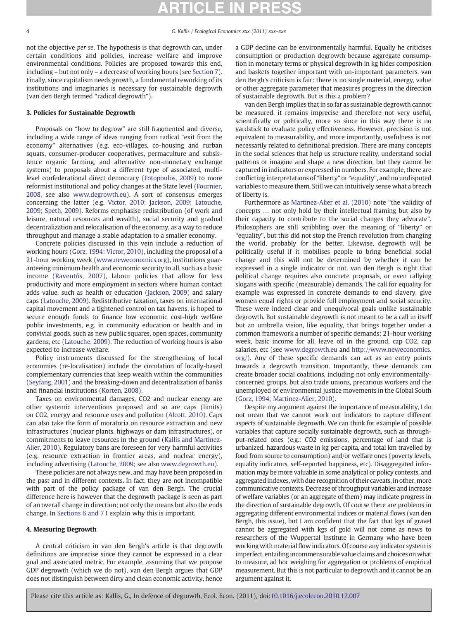not the objective *per se*. The hypothesis is that degrowth can, under certain conditions and policies, increase welfare and improve environmental conditions. Policies are proposed towards this end, including – but not only – a decrease of working hours (see Section 7). Finally, since capitalism needs growth, a fundamental reworking of its institutions and imaginaries is necessary for sustainable degrowth (van den Bergh termed "radical degrowth").

## 3. Policies for Sustainable Degrowth

Proposals on "how to degrow" are still fragmented and diverse, including a wide range of ideas ranging from radical "exit from the economy" alternatives (e.g. eco-villages, co-housing and rurban squats, consumer-producer cooperatives, permaculture and subsistence organic farming, and alternative non-monetary exchange systems) to proposals about a different type of associated, multilevel confederational direct democracy (Fotopoulos, 2009) to more reformist institutional and policy changes at the State level (Fournier, 2008, see also www.degrowth.eu). A sort of consensus emerges concerning the latter (e.g. Victor, 2010; Jackson, 2009; Latouche, 2009; Speth, 2009). Reforms emphasise redistribution (of work and leisure, natural resources and wealth), social security and gradual decentralization and relocalisation of the economy, as a way to reduce throughput and manage a stable adaptation to a smaller economy.

Concrete policies discussed in this vein include a reduction of working hours (Gorz, 1994; Victor, 2010), including the proposal of a 21-hour working week (www.neweconomics.org), institutions guaranteeing minimum health and economic security to all, such as a basic income (Raventós, 2007), labour policies that allow for less productivity and more employment in sectors where human contact adds value, such as health or education (Jackson, 2009) and salary caps (Latouche, 2009). Redistributive taxation, taxes on international capital movement and a tightened control on tax havens, is hoped to secure enough funds to finance low economic cost-high welfare public investments, e.g. in community education or health and in convivial goods, such as new public squares, open spaces, community gardens, etc (Latouche, 2009). The reduction of working hours is also expected to increase welfare.

Policy instruments discussed for the strengthening of local economies (re-localisation) include the circulation of locally-based complementary currencies that keep wealth within the communities (Seyfang, 2001) and the breaking-down and decentralization of banks and financial institutions (Korten, 2008).

Taxes on environmental damages, CO2 and nuclear energy are other systemic interventions proposed and so are caps (limits) on CO2, energy and resource uses and pollution (Alcott, 2010). Caps can also take the form of moratoria on resource extraction and new infrastructures (nuclear plants, highways or dam infrastructures), or commitments to leave resources in the ground (Kallis and Martinez-Alier, 2010). Regulatory bans are foreseen for very harmful activities (e.g. resource extraction in frontier areas, and nuclear energy), including advertising (Latouche, 2009; see also www.degrowth.eu).

These policies are not always new, and may have been proposed in the past and in different contexts. In fact, they are not incompatible with part of the policy package of van den Bergh. The crucial difference here is however that the degrowth package is seen as part of an overall change in direction; not only the means but also the ends change. In Sections 6 and 7 I explain why this is important.

## 4. Measuring Degrowth

A central criticism in van den Bergh's article is that degrowth definitions are imprecise since they cannot be expressed in a clear goal and associated metric. For example, assuming that we propose GDP degrowth (which we do not), van den Bergh argues that GDP does not distinguish between dirty and clean economic activity, hence a GDP decline can be environmentally harmful. Equally he criticises consumption or production degrowth because aggregate consumption in monetary terms or physical degrowth in kg hides composition and baskets together important with un-important parameters. van den Bergh's criticism is fair: there is no single material, energy, value or other aggregate parameter that measures progress in the direction of sustainable degrowth. But is this a problem?

van den Bergh implies that in so far as sustainable degrowth cannot be measured, it remains imprecise and therefore not very useful, scientifically or politically, more so since in this way there is no yardstick to evaluate policy effectiveness. However, precision is not equivalent to measurability, and more importantly, usefulness is not necessarily related to definitional precision. There are many concepts in the social sciences that help us structure reality, understand social patterns or imagine and shape a new direction, but they cannot be captured in indicators or expressed in numbers. For example, there are conflicting interpretations of "liberty" or "equality", and no undisputed variables to measure them. Still we can intuitively sense what a breach of liberty is.

Furthermore as Martinez-Alier et al. (2010) note "the validity of concepts … not only hold by their intellectual framing but also by their capacity to contribute to the social changes they advocate". Philosophers are still scribbling over the meaning of "liberty" or "equality", but this did not stop the French revolution from changing the world, probably for the better. Likewise, degrowth will be politically useful if it mobilises people to bring beneficial social change and this will not be determined by whether it can be expressed in a single indicator or not. van den Bergh is right that political change requires also concrete proposals, or even rallying slogans with specific (measurable) demands. The call for equality for example was expressed in concrete demands to end slavery, give women equal rights or provide full employment and social security. These were indeed clear and unequivocal goals unlike sustainable degrowth. But sustainable degrowth is not meant to be a call in itself but an umbrella vision, like equality, that brings together under a common framework a number of specific demands: 21-hour working week, basic income for all, leave oil in the ground, cap CO2, cap salaries, etc (see www.degrowth.eu and http://www.neweconomics. org/). Any of these specific demands can act as an entry points towards a degrowth transition. Importantly, these demands can create broader social coalitions, including not only environmentallyconcerned groups, but also trade unions, precarious workers and the unemployed or environmental justice movements in the Global South (Gorz, 1994; Martinez-Alier, 2010).

Despite my argument against the importance of measurability, I do not mean that we cannot work out indicators to capture different aspects of sustainable degrowth. We can think for example of possible variables that capture socially sustainable degrowth, such as throughput-related ones (e.g.: CO2 emissions, percentage of land that is urbanized, hazardous waste in kg per capita, and total km travelled by food from source to consumption) and/or welfare ones (poverty levels, equality indicators, self-reported happiness, etc). Disaggregated information may be more valuable in some analytical or policy contexts, and aggregated indexes, with due recognition of their caveats, in other, more communicative contexts. Decrease of throughput variables and increase of welfare variables (or an aggregate of them) may indicate progress in the direction of sustainable degrowth. Of course there are problems in aggregating different environmental indices or material flows (van den Bergh, this issue), but I am confident that the fact that kgs of gravel cannot be aggregated with kgs of gold will not come as news to researchers of the Wuppertal Institute in Germany who have been working with material flow indicators. Of course any indicator system is imperfect, entailing incommensurable value claims and choices on what to measure, ad hoc weighing for aggregation or problems of empirical measurement. But this is not particular to degrowth and it cannot be an argument against it.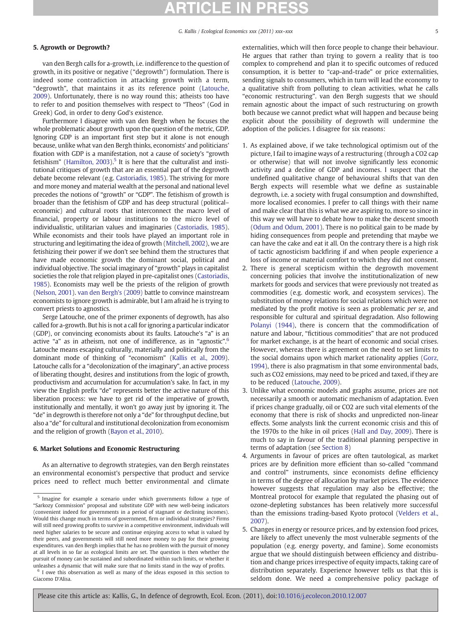# 5. Agrowth or Degrowth?

van den Bergh calls for a-growth, i.e. indifference to the question of growth, in its positive or negative ("degrowth") formulation. There is indeed some contradiction in attacking growth with a term, "degrowth", that maintains it as its reference point (Latouche, 2009). Unfortunately, there is no way round this; atheists too have to refer to and position themselves with respect to "Theos" (God in Greek) God, in order to deny God's existence.

Furthermore I disagree with van den Bergh when he focuses the whole problematic about growth upon the question of the metric, GDP. Ignoring GDP is an important first step but it alone is not enough because, unlike what van den Bergh thinks, economists' and politicians' fixation with GDP is a manifestation, not a cause of society's "growth fetishism" (Hamilton,  $2003$ ).<sup>5</sup> It is here that the culturalist and institutional critiques of growth that are an essential part of the degrowth debate become relevant (e.g. Castoriadis, 1985). The striving for more and more money and material wealth at the personal and national level precedes the notions of "growth" or "GDP". The fetishism of growth is broader than the fetishism of GDP and has deep structural (political– economic) and cultural roots that interconnect the macro level of financial, property or labour institutions to the micro level of individualistic, utilitarian values and imaginaries (Castoriadis, 1985). While economists and their tools have played an important role in structuring and legitimating the idea of growth (Mitchell, 2002), we are fetishizing their power if we don't see behind them the structures that have made economic growth the dominant social, political and individual objective. The social imaginary of "growth" plays in capitalist societies the role that religion played in pre-capitalist ones (Castoriadis, 1985). Economists may well be the priests of the religion of growth (Nelson, 2001). van den Bergh's (2009) battle to convince mainstream economists to ignore growth is admirable, but I am afraid he is trying to convert priests to agnostics.

Serge Latouche, one of the primer exponents of degrowth, has also called for a-growth. But his is not a call for ignoring a particular indicator (GDP), or convincing economists about its faults. Latouche's "a" is an active "a" as in atheism, not one of indifference, as in "agnostic".<sup>6</sup> Latouche means escaping culturally, materially and politically from the dominant mode of thinking of "economism" (Kallis et al., 2009). Latouche calls for a "decolonization of the imaginary", an active process of liberating thought, desires and institutions from the logic of growth, productivism and accumulation for accumulation's sake. In fact, in my view the English prefix "de" represents better the active nature of this liberation process: we have to get rid of the imperative of growth, institutionally and mentally, it won't go away just by ignoring it. The "de" in degrowth is therefore not only a "de" for throughput decline, but also a "de" for cultural and institutional decolonization from economism and the religion of growth (Bayon et al., 2010).

### 6. Market Solutions and Economic Restructuring

As an alternative to degrowth strategies, van den Bergh reinstates an environmental economist's perspective that product and service prices need to reflect much better environmental and climate externalities, which will then force people to change their behaviour. He argues that rather than trying to govern a reality that is too complex to comprehend and plan it to specific outcomes of reduced consumption, it is better to "cap-and-trade" or price externalities, sending signals to consumers, which in turn will lead the economy to a qualitative shift from polluting to clean activities, what he calls "economic restructuring". van den Bergh suggests that we should remain agnostic about the impact of such restructuring on growth both because we cannot predict what will happen and because being explicit about the possibility of degrowth will undermine the adoption of the policies. I disagree for six reasons:

- 1. As explained above, if we take technological optimism out of the picture, I fail to imagine ways of a restructuring (through a CO2 cap or otherwise) that will not involve significantly less economic activity and a decline of GDP and incomes. I suspect that the undefined qualitative change of behavioural shifts that van den Bergh expects will resemble what we define as sustainable degrowth, i.e. a society with frugal consumption and downshifted, more localised economies. I prefer to call things with their name and make clear that this is what we are aspiring to, more so since in this way we will have to debate how to make the descent smooth (Odum and Odum, 2001). There is no political gain to be made by hiding consequences from people and pretending that maybe we can have the cake and eat it all. On the contrary there is a high risk of tactic agnosticism backfiring if and when people experience a loss of income or material comfort to which they did not consent.
- 2. There is general scepticism within the degrowth movement concerning policies that involve the institutionalization of new markets for goods and services that were previously not treated as commodities (e.g. domestic work, and ecosystem services). The substitution of money relations for social relations which were not mediated by the profit motive is seen as problematic *per se*, and responsible for cultural and spiritual degradation. Also following Polanyi (1944), there is concern that the commodification of nature and labour, "fictitious commodities" that are not produced for market exchange, is at the heart of economic and social crises. However, whereas there is agreement on the need to set limits to the social domains upon which market rationality applies (Gorz, 1994), there is also pragmatism in that some environmental bads, such as CO2 emissions, may need to be priced and taxed, if they are to be reduced (Latouche, 2009).
- 3. Unlike what economic models and graphs assume, prices are not necessarily a smooth or automatic mechanism of adaptation. Even if prices change gradually, oil or CO2 are such vital elements of the economy that there is risk of shocks and unpredicted non-linear effects. Some analysts link the current economic crisis and this of the 1970s to the hike in oil prices (Hall and Day, 2009). There is much to say in favour of the traditional planning perspective in terms of adaptation (see Section 8)
- 4. Arguments in favour of prices are often tautological, as market prices are by definition more efficient than so-called "command and control" instruments, since economists define efficiency in terms of the degree of allocation by market prices. The evidence however suggests that regulation may also be effective; the Montreal protocol for example that regulated the phasing out of ozone-depleting substances has been relatively more successful than the emissions trading-based Kyoto protocol (Velders et al., 2007).
- 5. Changes in energy or resource prices, and by extension food prices, are likely to affect unevenly the most vulnerable segments of the population (e.g. energy poverty, and famine). Some economists argue that we should distinguish between efficiency and distribution and change prices irrespective of equity impacts, taking care of distribution separately. Experience however tells us that this is seldom done. We need a comprehensive policy package of

<sup>&</sup>lt;sup>5</sup> Imagine for example a scenario under which governments follow a type of "Sarkozy Commission" proposal and substitute GDP with new well-being indicators (convenient indeed for governments in a period of stagnant or declining incomes). Would this change much in terms of government, firm or individual strategies? Firms will still need growing profits to survive in a competitive environment, individuals will need higher salaries to be secure and continue enjoying access to what is valued by their peers, and governments will still need more money to pay for their growing expenditures. van den Bergh implies that he has no problem with the pursuit of money at all levels in so far as ecological limits are set. The question is then whether the pursuit of money can be sustained and subordinated within such limits, or whether it unleashes a dynamic that will make sure that no limits stand in the way of profits.  $6$  I owe this observation as well as many of the ideas exposed in this section to

Giacomo D'Alisa.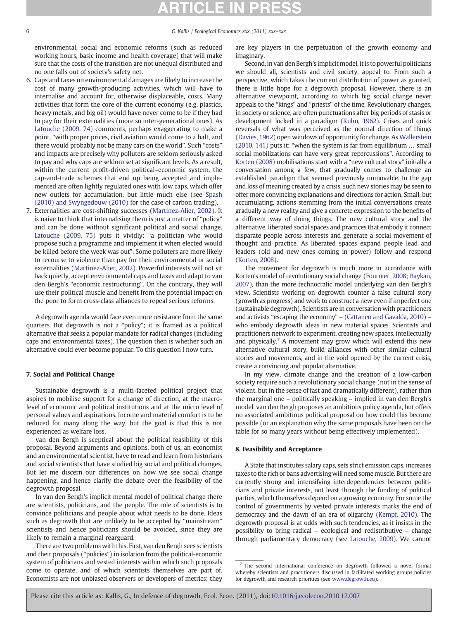environmental, social and economic reforms (such as reduced working hours, basic income and health coverage) that will make sure that the costs of the transition are not unequal distributed and no one falls out of society's safety net.

- 6. Caps and taxes on environmental damages are likely to increase the cost of many growth-producing activities, which will have to internalise and account for, otherwise displaceable, costs. Many activities that form the core of the current economy (e.g. plastics, heavy metals, and big oil) would have never come to be if they had to pay for their externalities (more so inter-generational ones). As Latouche (2009, 74) comments, perhaps exaggerating to make a point, "with proper prices, civil aviation would come to a halt, and there would probably not be many cars on the world". Such "costs" and impacts are precisely why polluters are seldom seriously asked to pay and why caps are seldom set at significant levels. As a result, within the current profit-driven political–economic system, the cap-and-trade schemes that end up being accepted and implemented are often lightly regulated ones with low caps, which offer new outlets for accumulation, but little much else (see Spash (2010) and Swyngedouw (2010) for the case of carbon trading).
- 7. Externalities are cost-shifting successes (Martinez-Alier, 2002). It is naive to think that internalising them is just a matter of "policy" and can be done without significant political and social change. Latouche (2009, 75) puts it vividly: "a politician who would propose such a programme and implement it when elected would be killed before the week was out". Some polluters are more likely to recourse to violence than pay for their environmental or social externalities (Martinez-Alier, 2002). Powerful interests will not sit back quietly, accept environmental caps and taxes and adapt to van den Bergh's "economic restructuring". On the contrary, they will use their political muscle and benefit from the potential impact on the poor to form cross-class alliances to repeal serious reforms.

A degrowth agenda would face even more resistance from the same quarters. But degrowth is not a "policy"; it is framed as a political alternative that seeks a popular mandate for radical changes (including caps and environmental taxes). The question then is whether such an alternative could ever become popular. To this question I now turn.

# 7. Social and Political Change

Sustainable degrowth is a multi-faceted political project that aspires to mobilise support for a change of direction, at the macrolevel of economic and political institutions and at the micro level of personal values and aspirations. Income and material comfort is to be reduced for many along the way, but the goal is that this is not experienced as welfare loss.

van den Bergh is sceptical about the political feasibility of this proposal. Beyond arguments and opinions, both of us, an economist and an environmental scientist, have to read and learn from historians and social scientists that have studied big social and political changes. But let me discern our differences on how we see social change happening, and hence clarify the debate over the feasibility of the degrowth proposal.

In van den Bergh's implicit mental model of political change there are scientists, politicians, and the people. The role of scientists is to convince politicians and people about what needs to be done. Ideas such as degrowth that are unlikely to be accepted by "mainstream" scientists and hence politicians should be avoided, since they are likely to remain a marginal rearguard.

There are two problems with this. First, van den Bergh sees scientists and their proposals ("policies") in isolation from the political-economic system of politicians and vested interests within which such proposals come to operate, and of which scientists themselves are part of. Economists are not unbiased observers or developers of metrics; they are key players in the perpetuation of the growth economy and imaginary.

Second, in van den Bergh's implicit model, it is to powerful politicians we should all, scientists and civil society, appeal to. From such a perspective, which takes the current distribution of power as granted, there is little hope for a degrowth proposal. However, there is an alternative viewpoint, according to which big social change never appeals to the "kings" and "priests" of the time. Revolutionary changes, in society or science, are often punctuations after big periods of stasis or development locked in a paradigm (Kuhn, 1962). Crises and quick reversals of what was perceived as the normal direction of things (Davies, 1962) open windows of opportunity for change. As Wallerstein (2010, 141) puts it: "when the system is far from equilibrium … small social mobilizations can have very great repercussions". According to Korten (2008) mobilisations start with a "new cultural story" initially a conversation among a few, that gradually comes to challenge an established paradigm that seemed previously unmovable. In the gap and loss of meaning created by a crisis, such new stories may be seen to offer more convincing explanations and directions for action. Small, but accumulating, actions stemming from the initial conversations create gradually a new reality and give a concrete expression to the benefits of a different way of doing things. The new cultural story and the alternative, liberated social spaces and practices that embody it connect disparate people across interests and generate a social movement of thought and practice. As liberated spaces expand people lead and leaders (old and new ones coming in power) follow and respond (Korten, 2008).

The movement for degrowth is much more in accordance with Korten's model of revolutionary social change (Fournier, 2008; Baykan, 2007), than the more technocratic model underlying van den Bergh's view. Scientists working on degrowth counter a false cultural story (growth as progress) and work to construct a new even if imperfect one (sustainable degrowth). Scientists are in conversation with practitioners and activists "escaping the economy" – (Cattaneo and Gavalda, 2010) – who embody degrowth ideas in new material spaces. Scientists and practitioners network to experiment, creating new spaces, intellectually and physically. $7$  A movement may grow which will extend this new alternative cultural story, build alliances with other similar cultural stories and movements, and in the void opened by the current crisis, create a convincing and popular alternative.

In my view, climate change and the creation of a low-carbon society require such a revolutionary social change (not in the sense of violent, but in the sense of fast and dramatically different), rather than the marginal one – politically speaking – implied in van den Bergh's model. van den Bergh proposes an ambitious policy agenda, but offers no associated ambitious political proposal on how could this become possible (or an explanation why the same proposals have been on the table for so many years without being effectively implemented).

# 8. Feasibility and Acceptance

A State that institutes salary caps, sets strict emission caps, increases taxes to the rich or bans advertising will need some muscle. But there are currently strong and intensifying interdependencies between politicians and private interests, not least through the funding of political parties, which themselves depend on a growing economy. For some the control of governments by vested private interests marks the end of democracy and the dawn of an era of oligarchy (Kempf, 2010). The degrowth proposal is at odds with such tendencies, as it insists in the possibility to bring radical – ecological and redistributive – change through parliamentary democracy (see Latouche, 2009). We cannot

<sup>&</sup>lt;sup>7</sup> The second international conference on degrowth followed a novel format whereby scientists and practitioners discussed in facilitated working groups policies for degrowth and research priorities (see www.degrowth.eu).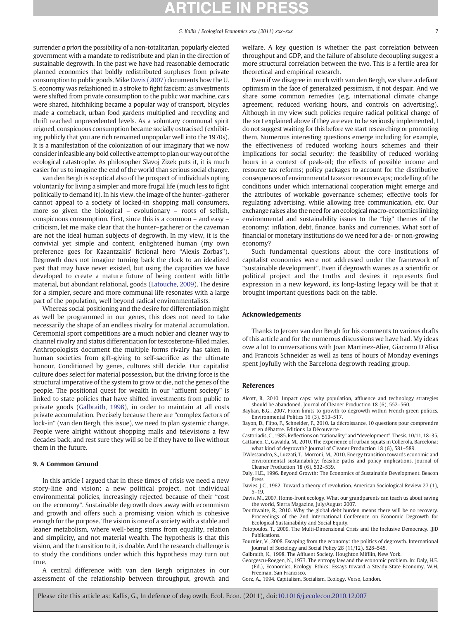surrender *a priori* the possibility of a non-totalitarian, popularly elected government with a mandate to redistribute and plan in the direction of sustainable degrowth. In the past we have had reasonable democratic planned economies that boldly redistributed surpluses from private consumption to public goods. Mike Davis (2007) documents how the U. S. economy was refashioned in a stroke to fight fascism: as investments were shifted from private consumption to the public war machine, cars were shared, hitchhiking became a popular way of transport, bicycles made a comeback, urban food gardens multiplied and recycling and thrift reached unprecedented levels. As a voluntary communal spirit reigned, conspicuous consumption became socially ostracised (exhibiting publicly that you are rich remained unpopular well into the 1970s). It is a manifestation of the colonization of our imaginary that we now consider infeasible any bold collective attempt to plan our way out of the ecological catastrophe. As philosopher Slavoj Zizek puts it, it is much easier for us to imagine the end of the world than serious social change.

van den Bergh is sceptical also of the prospect of individuals opting voluntarily for living a simpler and more frugal life (much less to fight politically to demand it). In his view, the image of the hunter–gatherer cannot appeal to a society of locked-in shopping mall consumers, more so given the biological – evolutionary – roots of selfish, conspicuous consumption. First, since this is a common – and easy – criticism, let me make clear that the hunter–gatherer or the caveman are not the ideal human subjects of degrowth. In my view, it is the convivial yet simple and content, enlightened human (my own preference goes for Kazantzakis' fictional hero "Alexis Zorbas"). Degrowth does not imagine turning back the clock to an idealized past that may have never existed, but using the capacities we have developed to create a mature future of being content with little material, but abundant relational, goods (Latouche, 2009). The desire for a simpler, secure and more communal life resonates with a large part of the population, well beyond radical environmentalists.

Whereas social positioning and the desire for differentiation might as well be programmed in our genes, this does not need to take necessarily the shape of an endless rivalry for material accumulation. Ceremonial sport competitions are a much nobler and cleaner way to channel rivalry and status differentiation for testosterone-filled males. Anthropologists document the multiple forms rivalry has taken in human societies from gift-giving to self-sacrifice as the ultimate honour. Conditioned by genes, cultures still decide. Our capitalist culture does select for material possession, but the driving force is the structural imperative of the system to grow or die, not the genes of the people. The positional quest for wealth in our "affluent society" is linked to state policies that have shifted investments from public to private goods (Galbraith, 1998), in order to maintain at all costs private accumulation. Precisely because there are "complex factors of lock-in" (van den Bergh, this issue), we need to plan systemic change. People were alright without shopping malls and televisions a few decades back, and rest sure they will so be if they have to live without them in the future.

## 9. A Common Ground

In this article I argued that in these times of crisis we need a new story-line and vision; a new political project, not individual environmental policies, increasingly rejected because of their "cost on the economy". Sustainable degrowth does away with economism and growth and offers such a promising vision which is cohesive enough for the purpose. The vision is one of a society with a stable and leaner metabolism, where well-being stems from equality, relation and simplicity, and not material wealth. The hypothesis is that this vision, and the transition to it, is doable. And the research challenge is to study the conditions under which this hypothesis may turn out true.

A central difference with van den Bergh originates in our assessment of the relationship between throughput, growth and welfare. A key question is whether the past correlation between throughput and GDP, and the failure of absolute decoupling suggest a more structural correlation between the two. This is a fertile area for theoretical and empirical research.

Even if we disagree in much with van den Bergh, we share a defiant optimism in the face of generalized pessimism, if not despair. And we share some common remedies (e.g. international climate change agreement, reduced working hours, and controls on advertising). Although in my view such policies require radical political change of the sort explained above if they are ever to be seriously implemented, I do not suggest waiting for this before we start researching or promoting them. Numerous interesting questions emerge including for example, the effectiveness of reduced working hours schemes and their implications for social security; the feasibility of reduced working hours in a context of peak-oil; the effects of possible income and resource tax reforms; policy packages to account for the distributive consequences of environmental taxes or resource caps; modelling of the conditions under which international cooperation might emerge and the attributes of workable governance schemes; effective tools for regulating advertising, while allowing free communication, etc. Our exchange raises also the need for an ecological macro-economics linking environmental and sustainability issues to the "big" themes of the economy: inflation, debt, finance, banks and currencies. What sort of financial or monetary institutions do we need for a de- or non-growing economy?

Such fundamental questions about the core institutions of capitalist economies were not addressed under the framework of "sustainable development". Even if degrowth wanes as a scientific or political project and the truths and desires it represents find expression in a new keyword, its long-lasting legacy will be that it brought important questions back on the table.

# Acknowledgements

Thanks to Jeroen van den Bergh for his comments to various drafts of this article and for the numerous discussions we have had. My ideas owe a lot to conversations with Joan Martinez-Alier, Giacomo D'Alisa and Francois Schneider as well as tens of hours of Monday evenings spent joyfully with the Barcelona degrowth reading group.

# References

Alcott, B., 2010. Impact caps: why population, affluence and technology strategies should be abandoned. Journal of Cleaner Production 18 (6), 552–560.

- Baykan, B.G., 2007. From limits to growth to degrowth within French green politics. Environmental Politics 16 (3), 513–517.
- Bayon, D., Flipo, F., Schneider, F., 2010. La décroissance, 10 questions pour comprendre et en débattre. Editions La Découverte

Castoriadis, C., 1985. Reflections on "rationality" and "development". Thesis. 10/11, 18–35. Cattaneo, C., Gavalda, M., 2010. The experience of rurban squats in Collerola, Barcelona: what kind of degrowth? Journal of Cleaner Production 18 (6), 581–589.

- D'Alessandro, S., Luzzati, T., Morroni, M., 2010. Energy transition towards economic and environmental sustainability: feasible paths and policy implications. Journal of Cleaner Production 18 (6), 532–539.
- Daly, H.E., 1996. Beyond Growth: The Economics of Sustainable Development. Beacon Press.
- Davies, J.C., 1962. Toward a theory of revolution. American Sociological Review 27 (1), 5–19.
- Davis, M., 2007. Home-front ecology. What our grandparents can teach us about saving the world, Sierra Magazine, July/August 2007.
- Douthwaite, R., 2010. Why the global debt burden means there will be no recovery. Proceedings of the 2nd International Conference on Economic Degrowth for Ecological Sustainability and Social Equity.
- Fotopoulos, T., 2009. The Multi-Dimensional Crisis and the Inclusive Democracy. IJID Publications.
- Fournier, V., 2008. Escaping from the economy: the politics of degrowth. International Journal of Sociology and Social Policy 28 (11/12), 528–545.
- Galbraith, K., 1998. The Affluent Society. Houghton Mifflin, New York.

Georgescu-Roegen, N., 1973. The entropy law and the economic problem. In: Daly, H.E. (Ed.), Economics, Ecology, Ethics: Essays toward a Steady-State Economy. W.H. Freeman, San Francisco.

Gorz, A., 1994. Capitalism, Socialism, Ecology. Verso, London.